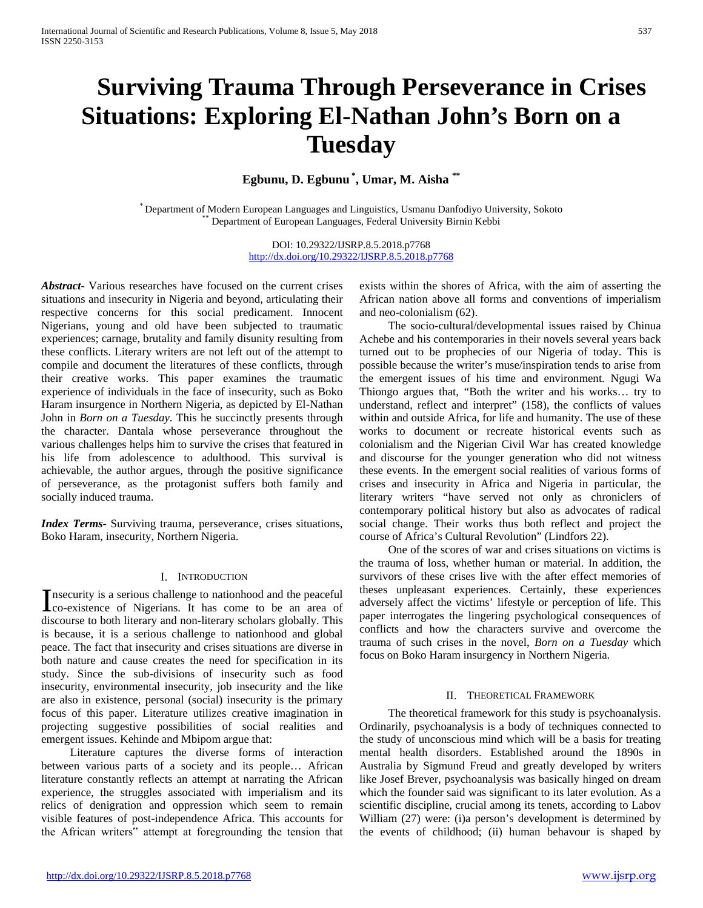# **Surviving Trauma Through Perseverance in Crises Situations: Exploring El-Nathan John's Born on a Tuesday**

**Egbunu, D. Egbunu \* , Umar, M. Aisha \*\***

\* Department of Modern European Languages and Linguistics, Usmanu Danfodiyo University, Sokoto \*\* Department of European Languages, Federal University Birnin Kebbi

DOI: 10.29322/IJSRP.8.5.2018.p7768 <http://dx.doi.org/10.29322/IJSRP.8.5.2018.p7768>

*Abstract***-** Various researches have focused on the current crises situations and insecurity in Nigeria and beyond, articulating their respective concerns for this social predicament. Innocent Nigerians, young and old have been subjected to traumatic experiences; carnage, brutality and family disunity resulting from these conflicts. Literary writers are not left out of the attempt to compile and document the literatures of these conflicts, through their creative works. This paper examines the traumatic experience of individuals in the face of insecurity, such as Boko Haram insurgence in Northern Nigeria, as depicted by El-Nathan John in *Born on a Tuesday*. This he succinctly presents through the character. Dantala whose perseverance throughout the various challenges helps him to survive the crises that featured in his life from adolescence to adulthood. This survival is achievable, the author argues, through the positive significance of perseverance, as the protagonist suffers both family and socially induced trauma.

*Index Terms*- Surviving trauma, perseverance, crises situations, Boko Haram, insecurity, Northern Nigeria.

## I. INTRODUCTION

nsecurity is a serious challenge to nationhood and the peaceful Insecurity is a serious challenge to nationhood and the peaceful<br>co-existence of Nigerians. It has come to be an area of discourse to both literary and non-literary scholars globally. This is because, it is a serious challenge to nationhood and global peace. The fact that insecurity and crises situations are diverse in both nature and cause creates the need for specification in its study. Since the sub-divisions of insecurity such as food insecurity, environmental insecurity, job insecurity and the like are also in existence, personal (social) insecurity is the primary focus of this paper. Literature utilizes creative imagination in projecting suggestive possibilities of social realities and emergent issues. Kehinde and Mbipom argue that:

 Literature captures the diverse forms of interaction between various parts of a society and its people… African literature constantly reflects an attempt at narrating the African experience, the struggles associated with imperialism and its relics of denigration and oppression which seem to remain visible features of post-independence Africa. This accounts for the African writers" attempt at foregrounding the tension that

exists within the shores of Africa, with the aim of asserting the African nation above all forms and conventions of imperialism and neo-colonialism (62).

 The socio-cultural/developmental issues raised by Chinua Achebe and his contemporaries in their novels several years back turned out to be prophecies of our Nigeria of today. This is possible because the writer's muse/inspiration tends to arise from the emergent issues of his time and environment. Ngugi Wa Thiongo argues that, "Both the writer and his works… try to understand, reflect and interpret" (158), the conflicts of values within and outside Africa, for life and humanity. The use of these works to document or recreate historical events such as colonialism and the Nigerian Civil War has created knowledge and discourse for the younger generation who did not witness these events. In the emergent social realities of various forms of crises and insecurity in Africa and Nigeria in particular, the literary writers "have served not only as chroniclers of contemporary political history but also as advocates of radical social change. Their works thus both reflect and project the course of Africa's Cultural Revolution" (Lindfors 22).

 One of the scores of war and crises situations on victims is the trauma of loss, whether human or material. In addition, the survivors of these crises live with the after effect memories of theses unpleasant experiences. Certainly, these experiences adversely affect the victims' lifestyle or perception of life. This paper interrogates the lingering psychological consequences of conflicts and how the characters survive and overcome the trauma of such crises in the novel, *Born on a Tuesday* which focus on Boko Haram insurgency in Northern Nigeria.

## II. THEORETICAL FRAMEWORK

 The theoretical framework for this study is psychoanalysis. Ordinarily, psychoanalysis is a body of techniques connected to the study of unconscious mind which will be a basis for treating mental health disorders. Established around the 1890s in Australia by Sigmund Freud and greatly developed by writers like Josef Brever, psychoanalysis was basically hinged on dream which the founder said was significant to its later evolution. As a scientific discipline, crucial among its tenets, according to Labov William (27) were: (i)a person's development is determined by the events of childhood; (ii) human behavour is shaped by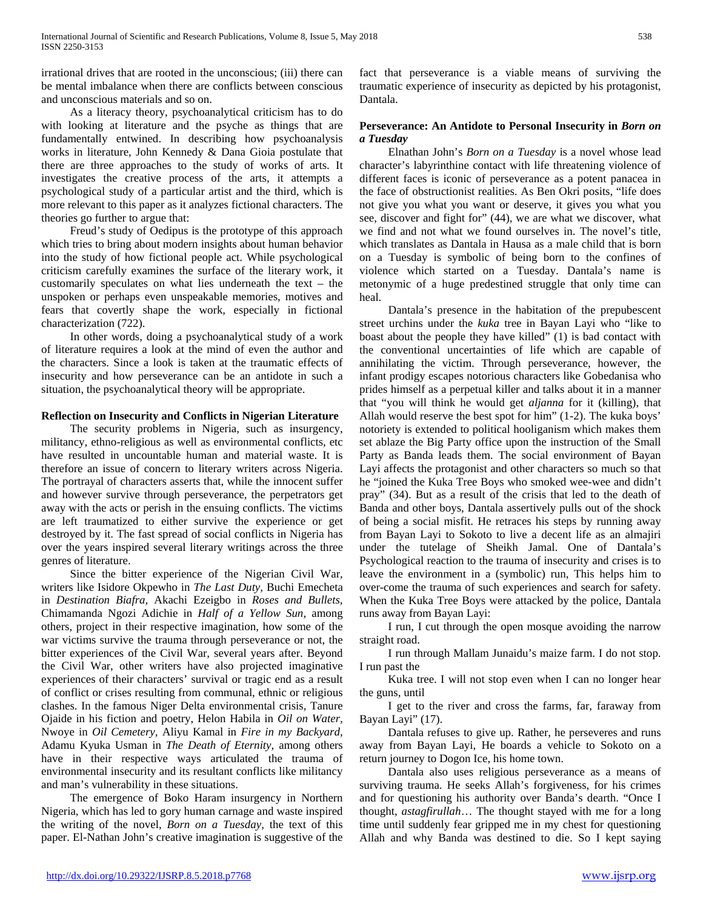irrational drives that are rooted in the unconscious; (iii) there can be mental imbalance when there are conflicts between conscious and unconscious materials and so on.

 As a literacy theory, psychoanalytical criticism has to do with looking at literature and the psyche as things that are fundamentally entwined. In describing how psychoanalysis works in literature, John Kennedy & Dana Gioia postulate that there are three approaches to the study of works of arts. It investigates the creative process of the arts, it attempts a psychological study of a particular artist and the third, which is more relevant to this paper as it analyzes fictional characters. The theories go further to argue that:

 Freud's study of Oedipus is the prototype of this approach which tries to bring about modern insights about human behavior into the study of how fictional people act. While psychological criticism carefully examines the surface of the literary work, it customarily speculates on what lies underneath the text – the unspoken or perhaps even unspeakable memories, motives and fears that covertly shape the work, especially in fictional characterization (722).

 In other words, doing a psychoanalytical study of a work of literature requires a look at the mind of even the author and the characters. Since a look is taken at the traumatic effects of insecurity and how perseverance can be an antidote in such a situation, the psychoanalytical theory will be appropriate.

## **Reflection on Insecurity and Conflicts in Nigerian Literature**

 The security problems in Nigeria, such as insurgency, militancy, ethno-religious as well as environmental conflicts, etc have resulted in uncountable human and material waste. It is therefore an issue of concern to literary writers across Nigeria. The portrayal of characters asserts that, while the innocent suffer and however survive through perseverance, the perpetrators get away with the acts or perish in the ensuing conflicts. The victims are left traumatized to either survive the experience or get destroyed by it. The fast spread of social conflicts in Nigeria has over the years inspired several literary writings across the three genres of literature.

 Since the bitter experience of the Nigerian Civil War, writers like Isidore Okpewho in *The Last Duty,* Buchi Emecheta in *Destination Biafra,* Akachi Ezeigbo in *Roses and Bullets,*  Chimamanda Ngozi Adichie in *Half of a Yellow Sun*, among others, project in their respective imagination, how some of the war victims survive the trauma through perseverance or not, the bitter experiences of the Civil War, several years after. Beyond the Civil War, other writers have also projected imaginative experiences of their characters' survival or tragic end as a result of conflict or crises resulting from communal, ethnic or religious clashes. In the famous Niger Delta environmental crisis, Tanure Ojaide in his fiction and poetry, Helon Habila in *Oil on Water,*  Nwoye in *Oil Cemetery,* Aliyu Kamal in *Fire in my Backyard,*  Adamu Kyuka Usman in *The Death of Eternity*, among others have in their respective ways articulated the trauma of environmental insecurity and its resultant conflicts like militancy and man's vulnerability in these situations.

 The emergence of Boko Haram insurgency in Northern Nigeria, which has led to gory human carnage and waste inspired the writing of the novel, *Born on a Tuesday*, the text of this paper. El-Nathan John's creative imagination is suggestive of the

fact that perseverance is a viable means of surviving the traumatic experience of insecurity as depicted by his protagonist, Dantala.

## **Perseverance: An Antidote to Personal Insecurity in** *Born on a Tuesday*

 Elnathan John's *Born on a Tuesday* is a novel whose lead character's labyrinthine contact with life threatening violence of different faces is iconic of perseverance as a potent panacea in the face of obstructionist realities. As Ben Okri posits, "life does not give you what you want or deserve, it gives you what you see, discover and fight for" (44), we are what we discover, what we find and not what we found ourselves in. The novel's title, which translates as Dantala in Hausa as a male child that is born on a Tuesday is symbolic of being born to the confines of violence which started on a Tuesday. Dantala's name is metonymic of a huge predestined struggle that only time can heal.

 Dantala's presence in the habitation of the prepubescent street urchins under the *kuka* tree in Bayan Layi who "like to boast about the people they have killed" (1) is bad contact with the conventional uncertainties of life which are capable of annihilating the victim. Through perseverance, however, the infant prodigy escapes notorious characters like Gobedanisa who prides himself as a perpetual killer and talks about it in a manner that "you will think he would get *aljanna* for it (killing), that Allah would reserve the best spot for him" (1-2). The kuka boys' notoriety is extended to political hooliganism which makes them set ablaze the Big Party office upon the instruction of the Small Party as Banda leads them. The social environment of Bayan Layi affects the protagonist and other characters so much so that he "joined the Kuka Tree Boys who smoked wee-wee and didn't pray" (34). But as a result of the crisis that led to the death of Banda and other boys, Dantala assertively pulls out of the shock of being a social misfit. He retraces his steps by running away from Bayan Layi to Sokoto to live a decent life as an almajiri under the tutelage of Sheikh Jamal. One of Dantala's Psychological reaction to the trauma of insecurity and crises is to leave the environment in a (symbolic) run, This helps him to over-come the trauma of such experiences and search for safety. When the Kuka Tree Boys were attacked by the police, Dantala runs away from Bayan Layi:

 I run, I cut through the open mosque avoiding the narrow straight road.

 I run through Mallam Junaidu's maize farm. I do not stop. I run past the

 Kuka tree. I will not stop even when I can no longer hear the guns, until

 I get to the river and cross the farms, far, faraway from Bayan Layi" (17).

 Dantala refuses to give up. Rather, he perseveres and runs away from Bayan Layi, He boards a vehicle to Sokoto on a return journey to Dogon Ice, his home town.

 Dantala also uses religious perseverance as a means of surviving trauma. He seeks Allah's forgiveness, for his crimes and for questioning his authority over Banda's dearth. "Once I thought, *astagfirullah*… The thought stayed with me for a long time until suddenly fear gripped me in my chest for questioning Allah and why Banda was destined to die. So I kept saying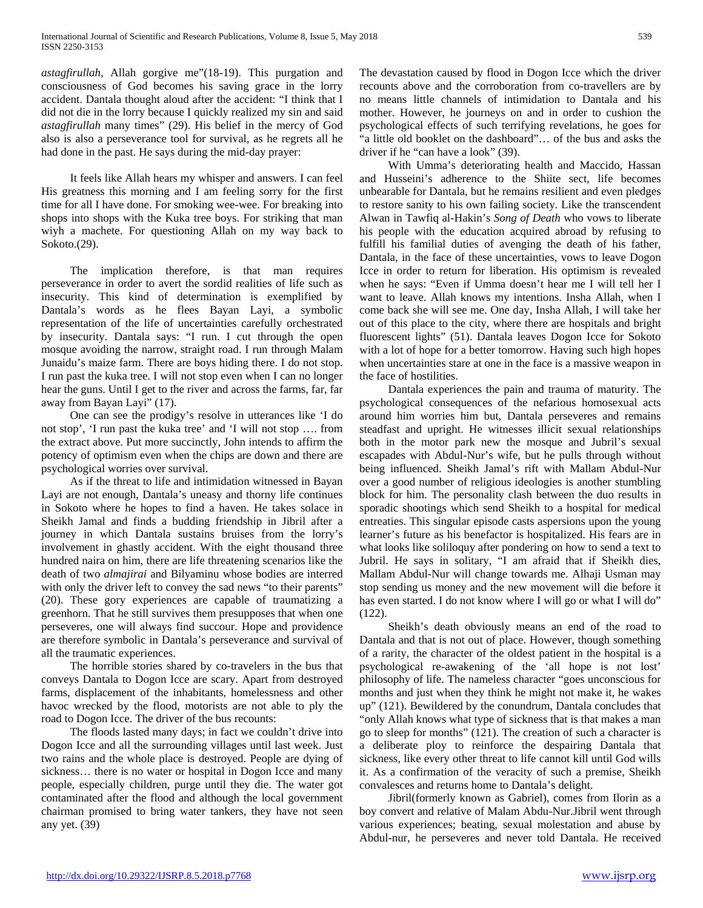*astagfirullah*, Allah gorgive me"(18-19). This purgation and consciousness of God becomes his saving grace in the lorry accident. Dantala thought aloud after the accident: "I think that I did not die in the lorry because I quickly realized my sin and said *astagfirullah* many times" (29). His belief in the mercy of God also is also a perseverance tool for survival, as he regrets all he had done in the past. He says during the mid-day prayer:

 It feels like Allah hears my whisper and answers. I can feel His greatness this morning and I am feeling sorry for the first time for all I have done. For smoking wee-wee. For breaking into shops into shops with the Kuka tree boys. For striking that man wiyh a machete. For questioning Allah on my way back to Sokoto.(29).

 The implication therefore, is that man requires perseverance in order to avert the sordid realities of life such as insecurity. This kind of determination is exemplified by Dantala's words as he flees Bayan Layi, a symbolic representation of the life of uncertainties carefully orchestrated by insecurity. Dantala says: "I run. I cut through the open mosque avoiding the narrow, straight road. I run through Malam Junaidu's maize farm. There are boys hiding there. I do not stop. I run past the kuka tree. I will not stop even when I can no longer hear the guns. Until I get to the river and across the farms, far, far away from Bayan Layi" (17).

 One can see the prodigy's resolve in utterances like 'I do not stop', 'I run past the kuka tree' and 'I will not stop …. from the extract above. Put more succinctly, John intends to affirm the potency of optimism even when the chips are down and there are psychological worries over survival.

 As if the threat to life and intimidation witnessed in Bayan Layi are not enough, Dantala's uneasy and thorny life continues in Sokoto where he hopes to find a haven. He takes solace in Sheikh Jamal and finds a budding friendship in Jibril after a journey in which Dantala sustains bruises from the lorry's involvement in ghastly accident. With the eight thousand three hundred naira on him, there are life threatening scenarios like the death of two *almajirai* and Bilyaminu whose bodies are interred with only the driver left to convey the sad news "to their parents" (20). These gory experiences are capable of traumatizing a greenhorn. That he still survives them presupposes that when one perseveres, one will always find succour. Hope and providence are therefore symbolic in Dantala's perseverance and survival of all the traumatic experiences.

 The horrible stories shared by co-travelers in the bus that conveys Dantala to Dogon Icce are scary. Apart from destroyed farms, displacement of the inhabitants, homelessness and other havoc wrecked by the flood, motorists are not able to ply the road to Dogon Icce. The driver of the bus recounts:

 The floods lasted many days; in fact we couldn't drive into Dogon Icce and all the surrounding villages until last week. Just two rains and the whole place is destroyed. People are dying of sickness… there is no water or hospital in Dogon Icce and many people, especially children, purge until they die. The water got contaminated after the flood and although the local government chairman promised to bring water tankers, they have not seen any yet. (39)

The devastation caused by flood in Dogon Icce which the driver recounts above and the corroboration from co-travellers are by no means little channels of intimidation to Dantala and his mother. However, he journeys on and in order to cushion the psychological effects of such terrifying revelations, he goes for "a little old booklet on the dashboard"… of the bus and asks the driver if he "can have a look" (39).

 With Umma's deteriorating health and Maccido, Hassan and Husseini's adherence to the Shiite sect, life becomes unbearable for Dantala, but he remains resilient and even pledges to restore sanity to his own failing society. Like the transcendent Alwan in Tawfiq al-Hakin's *Song of Death* who vows to liberate his people with the education acquired abroad by refusing to fulfill his familial duties of avenging the death of his father, Dantala, in the face of these uncertainties, vows to leave Dogon Icce in order to return for liberation. His optimism is revealed when he says: "Even if Umma doesn't hear me I will tell her I want to leave. Allah knows my intentions. Insha Allah, when I come back she will see me. One day, Insha Allah, I will take her out of this place to the city, where there are hospitals and bright fluorescent lights" (51). Dantala leaves Dogon Icce for Sokoto with a lot of hope for a better tomorrow. Having such high hopes when uncertainties stare at one in the face is a massive weapon in the face of hostilities.

 Dantala experiences the pain and trauma of maturity. The psychological consequences of the nefarious homosexual acts around him worries him but, Dantala perseveres and remains steadfast and upright. He witnesses illicit sexual relationships both in the motor park new the mosque and Jubril's sexual escapades with Abdul-Nur's wife, but he pulls through without being influenced. Sheikh Jamal's rift with Mallam Abdul-Nur over a good number of religious ideologies is another stumbling block for him. The personality clash between the duo results in sporadic shootings which send Sheikh to a hospital for medical entreaties. This singular episode casts aspersions upon the young learner's future as his benefactor is hospitalized. His fears are in what looks like soliloquy after pondering on how to send a text to Jubril. He says in solitary, "I am afraid that if Sheikh dies, Mallam Abdul-Nur will change towards me. Alhaji Usman may stop sending us money and the new movement will die before it has even started. I do not know where I will go or what I will do" (122).

 Sheikh's death obviously means an end of the road to Dantala and that is not out of place. However, though something of a rarity, the character of the oldest patient in the hospital is a psychological re-awakening of the 'all hope is not lost' philosophy of life. The nameless character "goes unconscious for months and just when they think he might not make it, he wakes up" (121). Bewildered by the conundrum, Dantala concludes that "only Allah knows what type of sickness that is that makes a man go to sleep for months" (121). The creation of such a character is a deliberate ploy to reinforce the despairing Dantala that sickness, like every other threat to life cannot kill until God wills it. As a confirmation of the veracity of such a premise, Sheikh convalesces and returns home to Dantala's delight.

 Jibril(formerly known as Gabriel), comes from Ilorin as a boy convert and relative of Malam Abdu-Nur.Jibril went through various experiences; beating, sexual molestation and abuse by Abdul-nur, he perseveres and never told Dantala. He received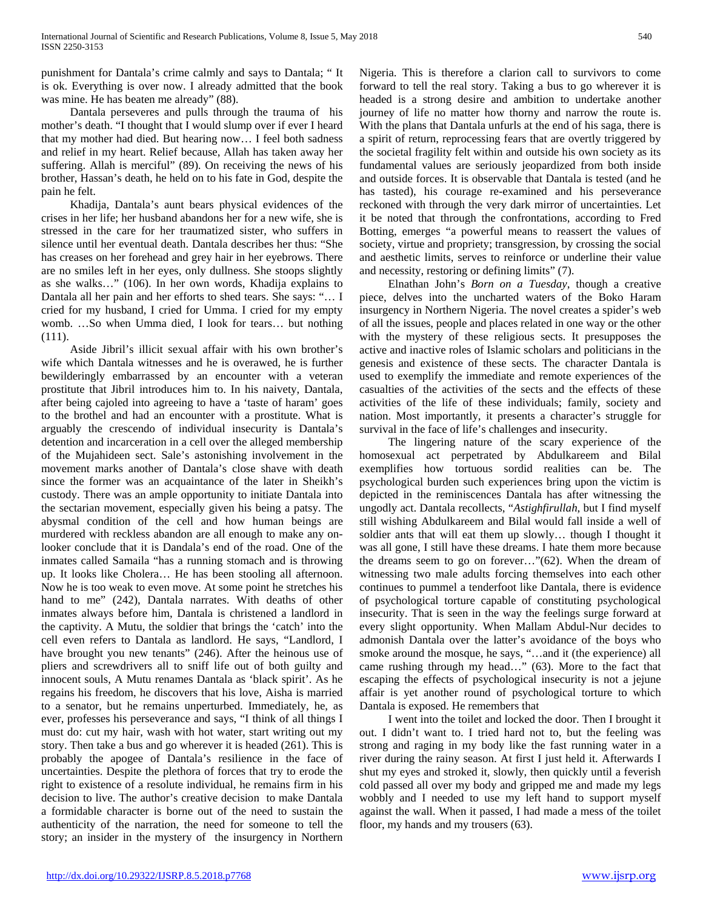punishment for Dantala's crime calmly and says to Dantala; " It is ok. Everything is over now. I already admitted that the book was mine. He has beaten me already" (88).

 Dantala perseveres and pulls through the trauma of his mother's death. "I thought that I would slump over if ever I heard that my mother had died. But hearing now… I feel both sadness and relief in my heart. Relief because, Allah has taken away her suffering. Allah is merciful" (89). On receiving the news of his brother, Hassan's death, he held on to his fate in God, despite the pain he felt.

 Khadija, Dantala's aunt bears physical evidences of the crises in her life; her husband abandons her for a new wife, she is stressed in the care for her traumatized sister, who suffers in silence until her eventual death. Dantala describes her thus: "She has creases on her forehead and grey hair in her eyebrows. There are no smiles left in her eyes, only dullness. She stoops slightly as she walks…" (106). In her own words, Khadija explains to Dantala all her pain and her efforts to shed tears. She says: "… I cried for my husband, I cried for Umma. I cried for my empty womb. …So when Umma died, I look for tears… but nothing (111).

 Aside Jibril's illicit sexual affair with his own brother's wife which Dantala witnesses and he is overawed, he is further bewilderingly embarrassed by an encounter with a veteran prostitute that Jibril introduces him to. In his naivety, Dantala, after being cajoled into agreeing to have a 'taste of haram' goes to the brothel and had an encounter with a prostitute. What is arguably the crescendo of individual insecurity is Dantala's detention and incarceration in a cell over the alleged membership of the Mujahideen sect. Sale's astonishing involvement in the movement marks another of Dantala's close shave with death since the former was an acquaintance of the later in Sheikh's custody. There was an ample opportunity to initiate Dantala into the sectarian movement, especially given his being a patsy. The abysmal condition of the cell and how human beings are murdered with reckless abandon are all enough to make any onlooker conclude that it is Dandala's end of the road. One of the inmates called Samaila "has a running stomach and is throwing up. It looks like Cholera… He has been stooling all afternoon. Now he is too weak to even move. At some point he stretches his hand to me" (242), Dantala narrates. With deaths of other inmates always before him, Dantala is christened a landlord in the captivity. A Mutu, the soldier that brings the 'catch' into the cell even refers to Dantala as landlord. He says, "Landlord, I have brought you new tenants" (246). After the heinous use of pliers and screwdrivers all to sniff life out of both guilty and innocent souls, A Mutu renames Dantala as 'black spirit'. As he regains his freedom, he discovers that his love, Aisha is married to a senator, but he remains unperturbed. Immediately, he, as ever, professes his perseverance and says, "I think of all things I must do: cut my hair, wash with hot water, start writing out my story. Then take a bus and go wherever it is headed (261). This is probably the apogee of Dantala's resilience in the face of uncertainties. Despite the plethora of forces that try to erode the right to existence of a resolute individual, he remains firm in his decision to live. The author's creative decision to make Dantala a formidable character is borne out of the need to sustain the authenticity of the narration, the need for someone to tell the story; an insider in the mystery of the insurgency in Northern

Nigeria. This is therefore a clarion call to survivors to come forward to tell the real story. Taking a bus to go wherever it is headed is a strong desire and ambition to undertake another journey of life no matter how thorny and narrow the route is. With the plans that Dantala unfurls at the end of his saga, there is a spirit of return, reprocessing fears that are overtly triggered by the societal fragility felt within and outside his own society as its fundamental values are seriously jeopardized from both inside and outside forces. It is observable that Dantala is tested (and he has tasted), his courage re-examined and his perseverance reckoned with through the very dark mirror of uncertainties. Let it be noted that through the confrontations, according to Fred Botting, emerges "a powerful means to reassert the values of society, virtue and propriety; transgression, by crossing the social and aesthetic limits, serves to reinforce or underline their value and necessity, restoring or defining limits" (7).

 Elnathan John's *Born on a Tuesday*, though a creative piece, delves into the uncharted waters of the Boko Haram insurgency in Northern Nigeria. The novel creates a spider's web of all the issues, people and places related in one way or the other with the mystery of these religious sects. It presupposes the active and inactive roles of Islamic scholars and politicians in the genesis and existence of these sects. The character Dantala is used to exemplify the immediate and remote experiences of the casualties of the activities of the sects and the effects of these activities of the life of these individuals; family, society and nation. Most importantly, it presents a character's struggle for survival in the face of life's challenges and insecurity.

 The lingering nature of the scary experience of the homosexual act perpetrated by Abdulkareem and Bilal exemplifies how tortuous sordid realities can be. The psychological burden such experiences bring upon the victim is depicted in the reminiscences Dantala has after witnessing the ungodly act. Dantala recollects, "*Astighfirullah*, but I find myself still wishing Abdulkareem and Bilal would fall inside a well of soldier ants that will eat them up slowly… though I thought it was all gone, I still have these dreams. I hate them more because the dreams seem to go on forever…"(62). When the dream of witnessing two male adults forcing themselves into each other continues to pummel a tenderfoot like Dantala, there is evidence of psychological torture capable of constituting psychological insecurity. That is seen in the way the feelings surge forward at every slight opportunity. When Mallam Abdul-Nur decides to admonish Dantala over the latter's avoidance of the boys who smoke around the mosque, he says, "…and it (the experience) all came rushing through my head…" (63). More to the fact that escaping the effects of psychological insecurity is not a jejune affair is yet another round of psychological torture to which Dantala is exposed. He remembers that

 I went into the toilet and locked the door. Then I brought it out. I didn't want to. I tried hard not to, but the feeling was strong and raging in my body like the fast running water in a river during the rainy season. At first I just held it. Afterwards I shut my eyes and stroked it, slowly, then quickly until a feverish cold passed all over my body and gripped me and made my legs wobbly and I needed to use my left hand to support myself against the wall. When it passed, I had made a mess of the toilet floor, my hands and my trousers (63).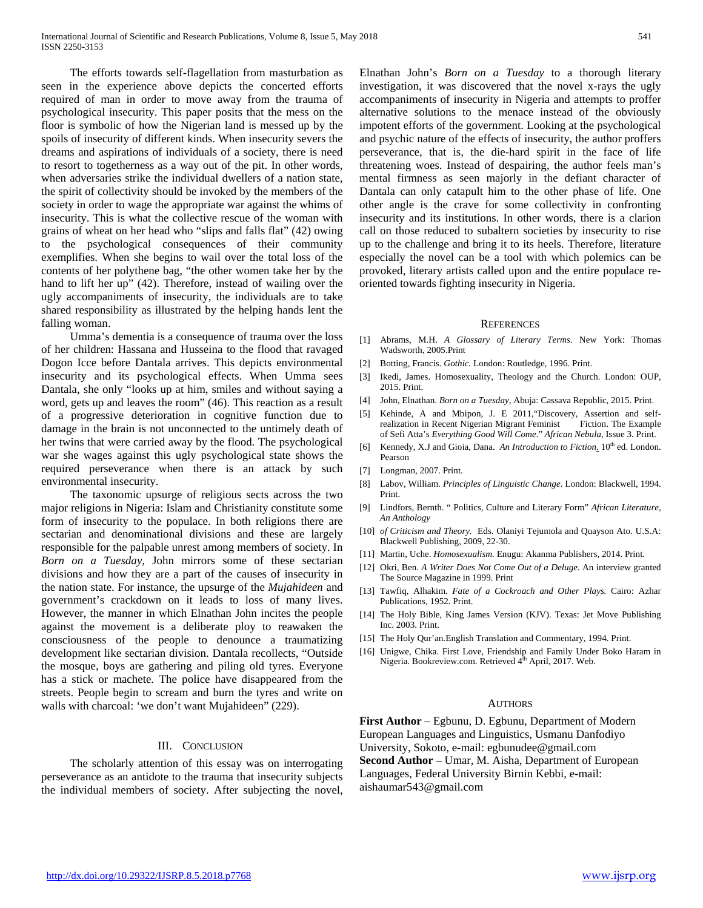The efforts towards self-flagellation from masturbation as seen in the experience above depicts the concerted efforts required of man in order to move away from the trauma of psychological insecurity. This paper posits that the mess on the floor is symbolic of how the Nigerian land is messed up by the spoils of insecurity of different kinds. When insecurity severs the dreams and aspirations of individuals of a society, there is need to resort to togetherness as a way out of the pit. In other words, when adversaries strike the individual dwellers of a nation state, the spirit of collectivity should be invoked by the members of the society in order to wage the appropriate war against the whims of insecurity. This is what the collective rescue of the woman with grains of wheat on her head who "slips and falls flat" (42) owing to the psychological consequences of their community exemplifies. When she begins to wail over the total loss of the contents of her polythene bag, "the other women take her by the hand to lift her up" (42). Therefore, instead of wailing over the ugly accompaniments of insecurity, the individuals are to take shared responsibility as illustrated by the helping hands lent the falling woman.

 Umma's dementia is a consequence of trauma over the loss of her children: Hassana and Husseina to the flood that ravaged Dogon Icce before Dantala arrives. This depicts environmental insecurity and its psychological effects. When Umma sees Dantala, she only "looks up at him, smiles and without saying a word, gets up and leaves the room" (46). This reaction as a result of a progressive deterioration in cognitive function due to damage in the brain is not unconnected to the untimely death of her twins that were carried away by the flood. The psychological war she wages against this ugly psychological state shows the required perseverance when there is an attack by such environmental insecurity.

 The taxonomic upsurge of religious sects across the two major religions in Nigeria: Islam and Christianity constitute some form of insecurity to the populace. In both religions there are sectarian and denominational divisions and these are largely responsible for the palpable unrest among members of society. In *Born on a Tuesday*, John mirrors some of these sectarian divisions and how they are a part of the causes of insecurity in the nation state. For instance, the upsurge of the *Mujahideen* and government's crackdown on it leads to loss of many lives. However, the manner in which Elnathan John incites the people against the movement is a deliberate ploy to reawaken the consciousness of the people to denounce a traumatizing development like sectarian division. Dantala recollects, "Outside the mosque, boys are gathering and piling old tyres. Everyone has a stick or machete. The police have disappeared from the streets. People begin to scream and burn the tyres and write on walls with charcoal: 'we don't want Mujahideen" (229).

#### III. CONCLUSION

 The scholarly attention of this essay was on interrogating perseverance as an antidote to the trauma that insecurity subjects the individual members of society. After subjecting the novel,

Elnathan John's *Born on a Tuesday* to a thorough literary investigation, it was discovered that the novel x-rays the ugly accompaniments of insecurity in Nigeria and attempts to proffer alternative solutions to the menace instead of the obviously impotent efforts of the government. Looking at the psychological and psychic nature of the effects of insecurity, the author proffers perseverance, that is, the die-hard spirit in the face of life threatening woes. Instead of despairing, the author feels man's mental firmness as seen majorly in the defiant character of Dantala can only catapult him to the other phase of life. One other angle is the crave for some collectivity in confronting insecurity and its institutions. In other words, there is a clarion call on those reduced to subaltern societies by insecurity to rise up to the challenge and bring it to its heels. Therefore, literature especially the novel can be a tool with which polemics can be provoked, literary artists called upon and the entire populace reoriented towards fighting insecurity in Nigeria.

#### **REFERENCES**

- [1] Abrams, M.H. *A Glossary of Literary Terms.* New York: Thomas Wadsworth, 2005.Print
- [2] Botting, Francis. *Gothic.* London: Routledge, 1996. Print.
- [3] Ikedi, James. Homosexuality, Theology and the Church. London: OUP, 2015. Print.
- [4] John, Elnathan. *Born on a Tuesday,* Abuja: Cassava Republic, 2015. Print.
- [5] Kehinde, A and Mbipon, J. E 2011,"Discovery, Assertion and selfrealization in Recent Nigerian Migrant Feminist of Sefi Atta's *Everything Good Will Come*." *African Nebula*, Issue 3. Print.
- [6] Kennedy, X.J and Gioia, Dana. An Introduction to Fiction. 10<sup>th</sup> ed. London. Pearson
- [7] Longman, 2007. Print.
- [8] Labov, William. *Principles of Linguistic Change*. London: Blackwell, 1994. Print.
- [9] Lindfors, Bernth. " Politics, Culture and Literary Form" *African Literature, An Anthology*
- [10] *of Criticism and Theory.* Eds. Olaniyi Tejumola and Quayson Ato. U.S.A: Blackwell Publishing, 2009, 22-30.
- [11] Martin, Uche. *Homosexualism.* Enugu: Akanma Publishers, 2014. Print.
- [12] Okri, Ben. *A Writer Does Not Come Out of a Deluge.* An interview granted The Source Magazine in 1999. Print
- [13] Tawfiq, Alhakim. *Fate of a Cockroach and Other Plays.* Cairo: Azhar Publications, 1952. Print.
- [14] The Holy Bible, King James Version (KJV). Texas: Jet Move Publishing Inc. 2003. Print.
- [15] The Holy Qur'an. English Translation and Commentary, 1994. Print.
- [16] Unigwe, Chika. First Love, Friendship and Family Under Boko Haram in Nigeria. Bookreview.com. Retrieved 4<sup>th</sup> April, 2017. Web.

#### **AUTHORS**

**First Author** – Egbunu, D. Egbunu, Department of Modern European Languages and Linguistics, Usmanu Danfodiyo University, Sokoto, e-mail: egbunudee@gmail.com **Second Author** – Umar, M. Aisha, Department of European Languages, Federal University Birnin Kebbi, e-mail: aishaumar543@gmail.com